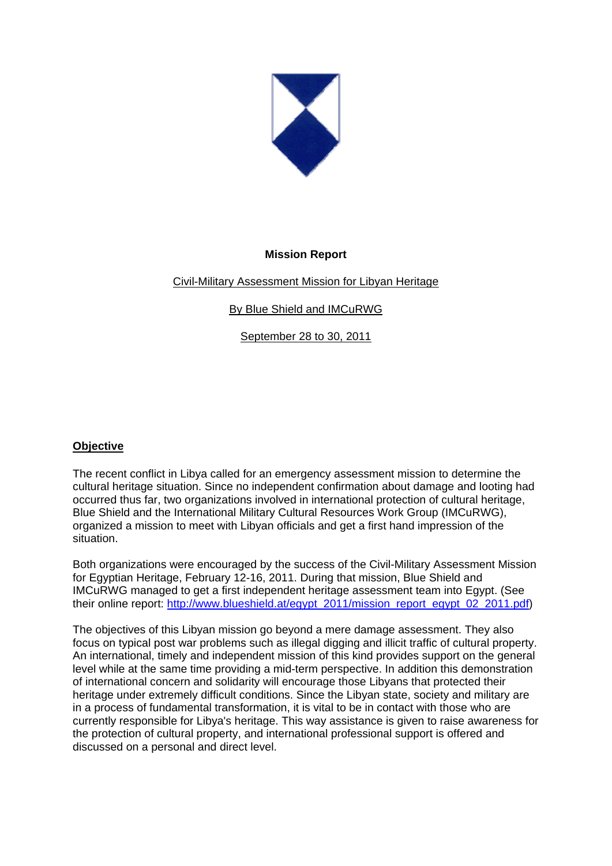

# **Mission Report**

## Civil-Military Assessment Mission for Libyan Heritage

By Blue Shield and IMCuRWG

September 28 to 30, 2011

### **Objective**

The recent conflict in Libya called for an emergency assessment mission to determine the cultural heritage situation. Since no independent confirmation about damage and looting had occurred thus far, two organizations involved in international protection of cultural heritage, Blue Shield and the International Military Cultural Resources Work Group (IMCuRWG), organized a mission to meet with Libyan officials and get a first hand impression of the situation.

Both organizations were encouraged by the success of the Civil-Military Assessment Mission for Egyptian Heritage, February 12-16, 2011. During that mission, Blue Shield and IMCuRWG managed to get a first independent heritage assessment team into Egypt. (See their online report: [http://www.blueshield.at/egypt\\_2011/mission\\_report\\_egypt\\_02\\_2011.pdf\)](http://www.blueshield.at/egypt_2011/mission_report_egypt_02_2011.pdf)

The objectives of this Libyan mission go beyond a mere damage assessment. They also focus on typical post war problems such as illegal digging and illicit traffic of cultural property. An international, timely and independent mission of this kind provides support on the general level while at the same time providing a mid-term perspective. In addition this demonstration of international concern and solidarity will encourage those Libyans that protected their heritage under extremely difficult conditions. Since the Libyan state, society and military are in a process of fundamental transformation, it is vital to be in contact with those who are currently responsible for Libya's heritage. This way assistance is given to raise awareness for the protection of cultural property, and international professional support is offered and discussed on a personal and direct level.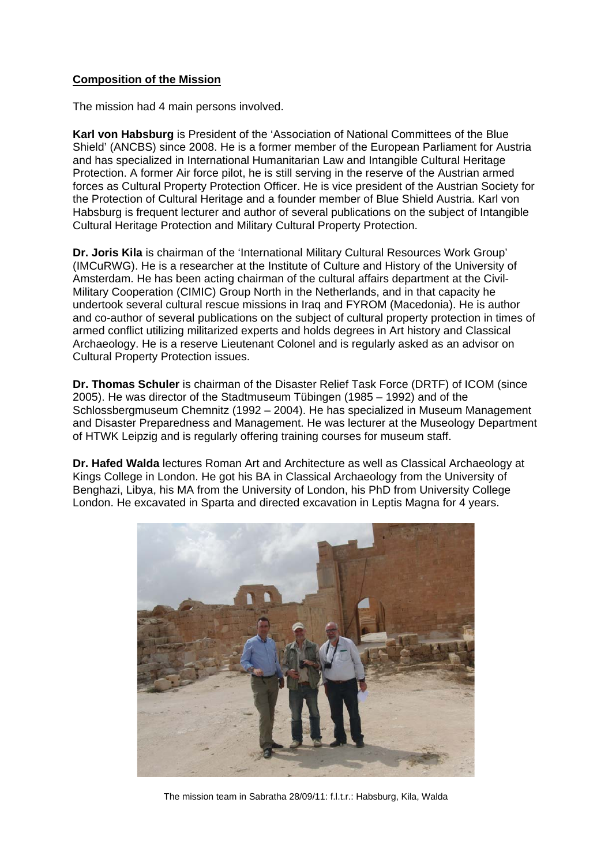# **Composition of the Mission**

The mission had 4 main persons involved.

**Karl von Habsburg** is President of the 'Association of National Committees of the Blue Shield' (ANCBS) since 2008. He is a former member of the European Parliament for Austria and has specialized in International Humanitarian Law and Intangible Cultural Heritage Protection. A former Air force pilot, he is still serving in the reserve of the Austrian armed forces as Cultural Property Protection Officer. He is vice president of the Austrian Society for the Protection of Cultural Heritage and a founder member of Blue Shield Austria. Karl von Habsburg is frequent lecturer and author of several publications on the subject of Intangible Cultural Heritage Protection and Military Cultural Property Protection.

**Dr. Joris Kila** is chairman of the 'International Military Cultural Resources Work Group' (IMCuRWG). He is a researcher at the Institute of Culture and History of the University of Amsterdam. He has been acting chairman of the cultural affairs department at the Civil-Military Cooperation (CIMIC) Group North in the Netherlands, and in that capacity he undertook several cultural rescue missions in Iraq and FYROM (Macedonia). He is author and co-author of several publications on the subject of cultural property protection in times of armed conflict utilizing militarized experts and holds degrees in Art history and Classical Archaeology. He is a reserve Lieutenant Colonel and is regularly asked as an advisor on Cultural Property Protection issues.

**Dr. Thomas Schuler** is chairman of the Disaster Relief Task Force (DRTF) of ICOM (since 2005). He was director of the Stadtmuseum Tübingen (1985 – 1992) and of the Schlossbergmuseum Chemnitz (1992 – 2004). He has specialized in Museum Management and Disaster Preparedness and Management. He was lecturer at the Museology Department of HTWK Leipzig and is regularly offering training courses for museum staff.

**Dr. Hafed Walda** lectures Roman Art and Architecture as well as Classical Archaeology at Kings College in London. He got his BA in Classical Archaeology from the University of Benghazi, Libya, his MA from the University of London, his PhD from University College London. He excavated in Sparta and directed excavation in Leptis Magna for 4 years.



The mission team in Sabratha 28/09/11: f.l.t.r.: Habsburg, Kila, Walda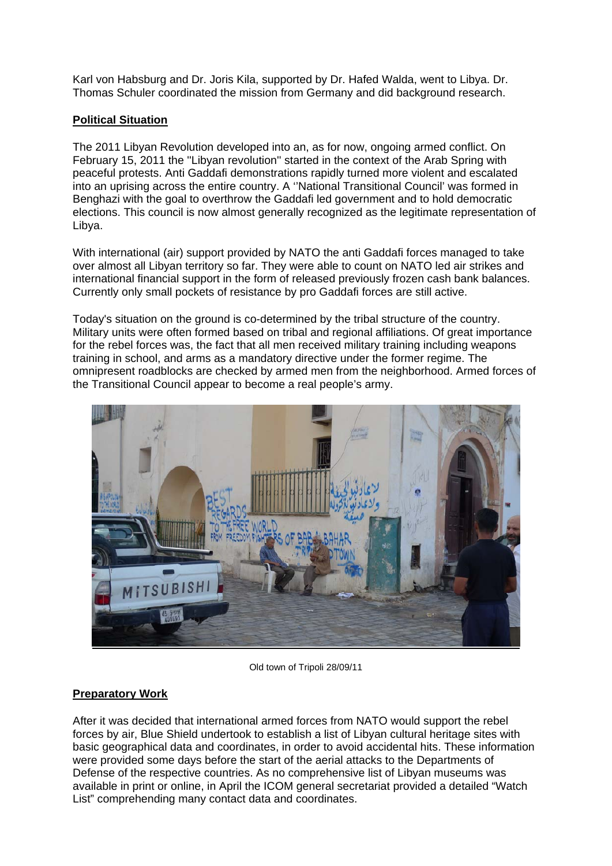Karl von Habsburg and Dr. Joris Kila, supported by Dr. Hafed Walda, went to Libya. Dr. Thomas Schuler coordinated the mission from Germany and did background research.

### **Political Situation**

The 2011 Libyan Revolution developed into an, as for now, ongoing armed conflict. On February 15, 2011 the ''Libyan revolution'' started in the context of the Arab Spring with peaceful protests. Anti Gaddafi demonstrations rapidly turned more violent and escalated into an uprising across the entire country. A ''National Transitional Council' was formed in Benghazi with the goal to overthrow the Gaddafi led government and to hold democratic elections. This council is now almost generally recognized as the legitimate representation of Libya.

With international (air) support provided by NATO the anti Gaddafi forces managed to take over almost all Libyan territory so far. They were able to count on NATO led air strikes and international financial support in the form of released previously frozen cash bank balances. Currently only small pockets of resistance by pro Gaddafi forces are still active.

Today's situation on the ground is co-determined by the tribal structure of the country. Military units were often formed based on tribal and regional affiliations. Of great importance for the rebel forces was, the fact that all men received military training including weapons training in school, and arms as a mandatory directive under the former regime. The omnipresent roadblocks are checked by armed men from the neighborhood. Armed forces of the Transitional Council appear to become a real people's army.



Old town of Tripoli 28/09/11

# **Preparatory Work**

After it was decided that international armed forces from NATO would support the rebel forces by air, Blue Shield undertook to establish a list of Libyan cultural heritage sites with basic geographical data and coordinates, in order to avoid accidental hits. These information were provided some days before the start of the aerial attacks to the Departments of Defense of the respective countries. As no comprehensive list of Libyan museums was available in print or online, in April the ICOM general secretariat provided a detailed "Watch List" comprehending many contact data and coordinates.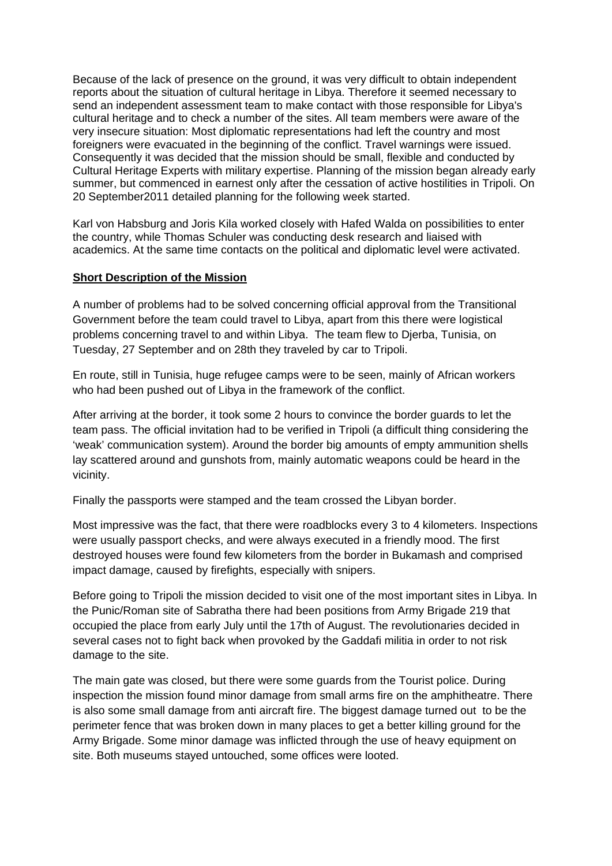Because of the lack of presence on the ground, it was very difficult to obtain independent reports about the situation of cultural heritage in Libya. Therefore it seemed necessary to send an independent assessment team to make contact with those responsible for Libya's cultural heritage and to check a number of the sites. All team members were aware of the very insecure situation: Most diplomatic representations had left the country and most foreigners were evacuated in the beginning of the conflict. Travel warnings were issued. Consequently it was decided that the mission should be small, flexible and conducted by Cultural Heritage Experts with military expertise. Planning of the mission began already early summer, but commenced in earnest only after the cessation of active hostilities in Tripoli. On 20 September2011 detailed planning for the following week started.

Karl von Habsburg and Joris Kila worked closely with Hafed Walda on possibilities to enter the country, while Thomas Schuler was conducting desk research and liaised with academics. At the same time contacts on the political and diplomatic level were activated.

### **Short Description of the Mission**

A number of problems had to be solved concerning official approval from the Transitional Government before the team could travel to Libya, apart from this there were logistical problems concerning travel to and within Libya. The team flew to Djerba, Tunisia, on Tuesday, 27 September and on 28th they traveled by car to Tripoli.

En route, still in Tunisia, huge refugee camps were to be seen, mainly of African workers who had been pushed out of Libya in the framework of the conflict.

After arriving at the border, it took some 2 hours to convince the border guards to let the team pass. The official invitation had to be verified in Tripoli (a difficult thing considering the 'weak' communication system). Around the border big amounts of empty ammunition shells lay scattered around and gunshots from, mainly automatic weapons could be heard in the vicinity.

Finally the passports were stamped and the team crossed the Libyan border.

Most impressive was the fact, that there were roadblocks every 3 to 4 kilometers. Inspections were usually passport checks, and were always executed in a friendly mood. The first destroyed houses were found few kilometers from the border in Bukamash and comprised impact damage, caused by firefights, especially with snipers.

Before going to Tripoli the mission decided to visit one of the most important sites in Libya. In the Punic/Roman site of Sabratha there had been positions from Army Brigade 219 that occupied the place from early July until the 17th of August. The revolutionaries decided in several cases not to fight back when provoked by the Gaddafi militia in order to not risk damage to the site.

The main gate was closed, but there were some guards from the Tourist police. During inspection the mission found minor damage from small arms fire on the amphitheatre. There is also some small damage from anti aircraft fire. The biggest damage turned out to be the perimeter fence that was broken down in many places to get a better killing ground for the Army Brigade. Some minor damage was inflicted through the use of heavy equipment on site. Both museums stayed untouched, some offices were looted.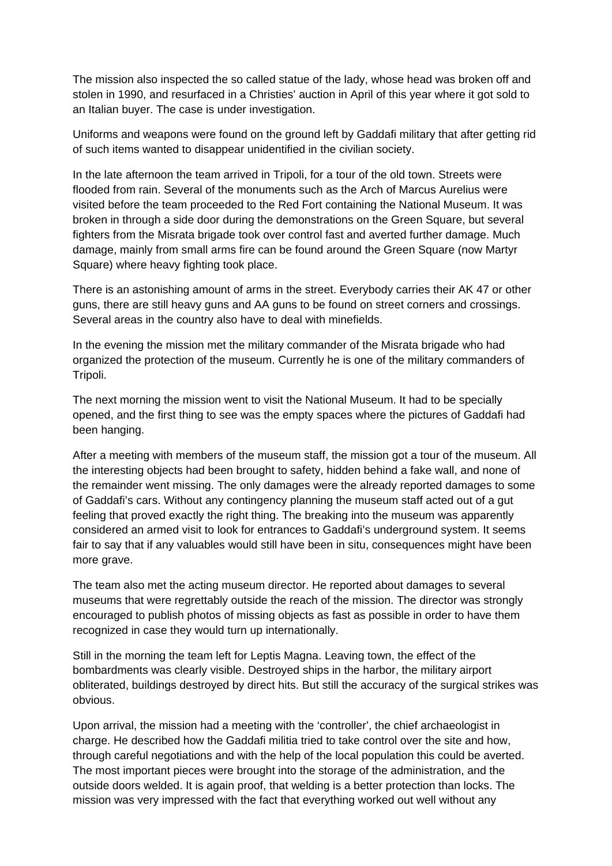The mission also inspected the so called statue of the lady, whose head was broken off and stolen in 1990, and resurfaced in a Christies' auction in April of this year where it got sold to an Italian buyer. The case is under investigation.

Uniforms and weapons were found on the ground left by Gaddafi military that after getting rid of such items wanted to disappear unidentified in the civilian society.

In the late afternoon the team arrived in Tripoli, for a tour of the old town. Streets were flooded from rain. Several of the monuments such as the Arch of Marcus Aurelius were visited before the team proceeded to the Red Fort containing the National Museum. It was broken in through a side door during the demonstrations on the Green Square, but several fighters from the Misrata brigade took over control fast and averted further damage. Much damage, mainly from small arms fire can be found around the Green Square (now Martyr Square) where heavy fighting took place.

There is an astonishing amount of arms in the street. Everybody carries their AK 47 or other guns, there are still heavy guns and AA guns to be found on street corners and crossings. Several areas in the country also have to deal with minefields.

In the evening the mission met the military commander of the Misrata brigade who had organized the protection of the museum. Currently he is one of the military commanders of Tripoli.

The next morning the mission went to visit the National Museum. It had to be specially opened, and the first thing to see was the empty spaces where the pictures of Gaddafi had been hanging.

After a meeting with members of the museum staff, the mission got a tour of the museum. All the interesting objects had been brought to safety, hidden behind a fake wall, and none of the remainder went missing. The only damages were the already reported damages to some of Gaddafi's cars. Without any contingency planning the museum staff acted out of a gut feeling that proved exactly the right thing. The breaking into the museum was apparently considered an armed visit to look for entrances to Gaddafi's underground system. It seems fair to say that if any valuables would still have been in situ, consequences might have been more grave.

The team also met the acting museum director. He reported about damages to several museums that were regrettably outside the reach of the mission. The director was strongly encouraged to publish photos of missing objects as fast as possible in order to have them recognized in case they would turn up internationally.

Still in the morning the team left for Leptis Magna. Leaving town, the effect of the bombardments was clearly visible. Destroyed ships in the harbor, the military airport obliterated, buildings destroyed by direct hits. But still the accuracy of the surgical strikes was obvious.

Upon arrival, the mission had a meeting with the 'controller', the chief archaeologist in charge. He described how the Gaddafi militia tried to take control over the site and how, through careful negotiations and with the help of the local population this could be averted. The most important pieces were brought into the storage of the administration, and the outside doors welded. It is again proof, that welding is a better protection than locks. The mission was very impressed with the fact that everything worked out well without any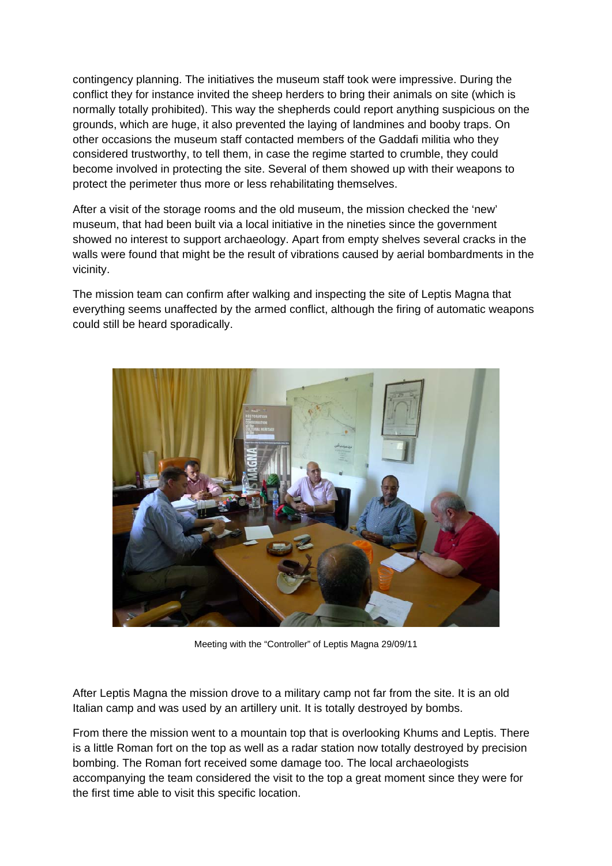contingency planning. The initiatives the museum staff took were impressive. During the conflict they for instance invited the sheep herders to bring their animals on site (which is normally totally prohibited). This way the shepherds could report anything suspicious on the grounds, which are huge, it also prevented the laying of landmines and booby traps. On other occasions the museum staff contacted members of the Gaddafi militia who they considered trustworthy, to tell them, in case the regime started to crumble, they could become involved in protecting the site. Several of them showed up with their weapons to protect the perimeter thus more or less rehabilitating themselves.

After a visit of the storage rooms and the old museum, the mission checked the 'new' museum, that had been built via a local initiative in the nineties since the government showed no interest to support archaeology. Apart from empty shelves several cracks in the walls were found that might be the result of vibrations caused by aerial bombardments in the vicinity.

The mission team can confirm after walking and inspecting the site of Leptis Magna that everything seems unaffected by the armed conflict, although the firing of automatic weapons could still be heard sporadically.



Meeting with the "Controller" of Leptis Magna 29/09/11

After Leptis Magna the mission drove to a military camp not far from the site. It is an old Italian camp and was used by an artillery unit. It is totally destroyed by bombs.

From there the mission went to a mountain top that is overlooking Khums and Leptis. There is a little Roman fort on the top as well as a radar station now totally destroyed by precision bombing. The Roman fort received some damage too. The local archaeologists accompanying the team considered the visit to the top a great moment since they were for the first time able to visit this specific location.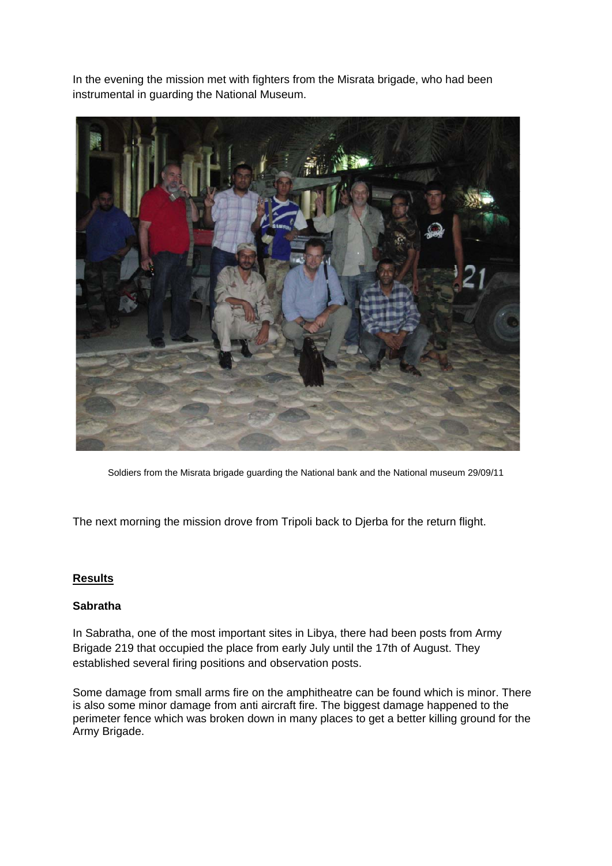In the evening the mission met with fighters from the Misrata brigade, who had been instrumental in guarding the National Museum.



Soldiers from the Misrata brigade guarding the National bank and the National museum 29/09/11

The next morning the mission drove from Tripoli back to Djerba for the return flight.

### **Results**

## **Sabratha**

In Sabratha, one of the most important sites in Libya, there had been posts from Army Brigade 219 that occupied the place from early July until the 17th of August. They established several firing positions and observation posts.

Some damage from small arms fire on the amphitheatre can be found which is minor. There is also some minor damage from anti aircraft fire. The biggest damage happened to the perimeter fence which was broken down in many places to get a better killing ground for the Army Brigade.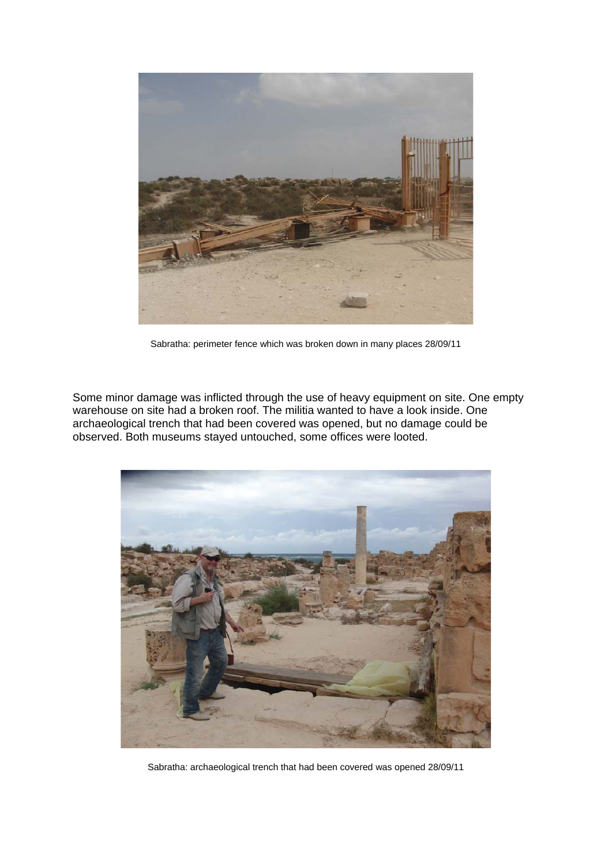

Sabratha: perimeter fence which was broken down in many places 28/09/11

Some minor damage was inflicted through the use of heavy equipment on site. One empty warehouse on site had a broken roof. The militia wanted to have a look inside. One archaeological trench that had been covered was opened, but no damage could be observed. Both museums stayed untouched, some offices were looted.



Sabratha: archaeological trench that had been covered was opened 28/09/11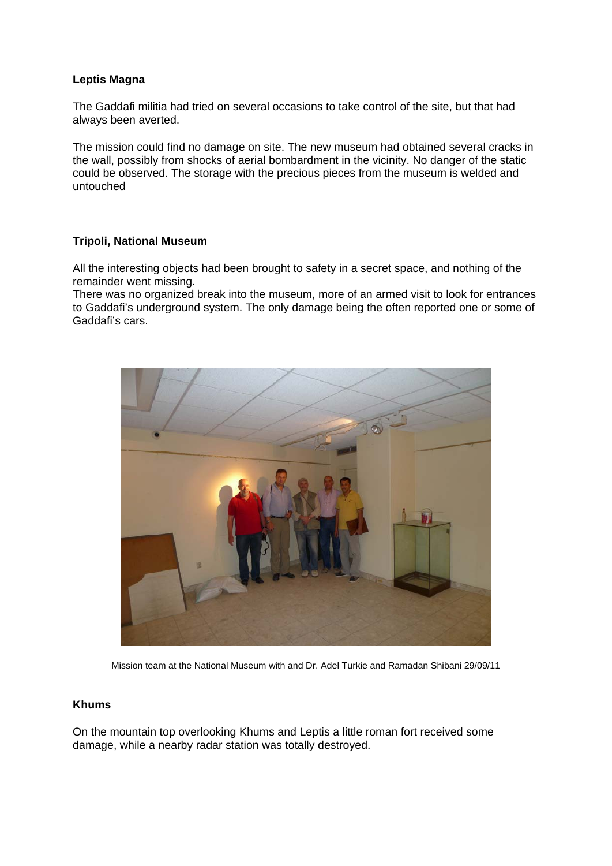### **Leptis Magna**

The Gaddafi militia had tried on several occasions to take control of the site, but that had always been averted.

The mission could find no damage on site. The new museum had obtained several cracks in the wall, possibly from shocks of aerial bombardment in the vicinity. No danger of the static could be observed. The storage with the precious pieces from the museum is welded and untouched

### **Tripoli, National Museum**

All the interesting objects had been brought to safety in a secret space, and nothing of the remainder went missing.

There was no organized break into the museum, more of an armed visit to look for entrances to Gaddafi's underground system. The only damage being the often reported one or some of Gaddafi's cars.



Mission team at the National Museum with and Dr. Adel Turkie and Ramadan Shibani 29/09/11

### **Khums**

On the mountain top overlooking Khums and Leptis a little roman fort received some damage, while a nearby radar station was totally destroyed.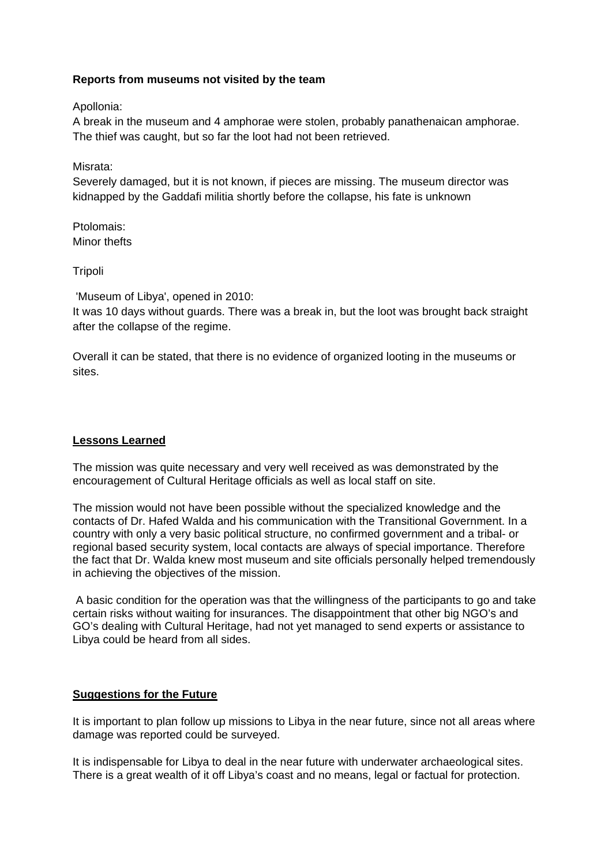### **Reports from museums not visited by the team**

Apollonia:

A break in the museum and 4 amphorae were stolen, probably panathenaican amphorae. The thief was caught, but so far the loot had not been retrieved.

Misrata:

Severely damaged, but it is not known, if pieces are missing. The museum director was kidnapped by the Gaddafi militia shortly before the collapse, his fate is unknown

Ptolomais: Minor thefts

**Tripoli** 

'Museum of Libya', opened in 2010:

It was 10 days without guards. There was a break in, but the loot was brought back straight after the collapse of the regime.

Overall it can be stated, that there is no evidence of organized looting in the museums or sites.

### **Lessons Learned**

The mission was quite necessary and very well received as was demonstrated by the encouragement of Cultural Heritage officials as well as local staff on site.

The mission would not have been possible without the specialized knowledge and the contacts of Dr. Hafed Walda and his communication with the Transitional Government. In a country with only a very basic political structure, no confirmed government and a tribal- or regional based security system, local contacts are always of special importance. Therefore the fact that Dr. Walda knew most museum and site officials personally helped tremendously in achieving the objectives of the mission.

 A basic condition for the operation was that the willingness of the participants to go and take certain risks without waiting for insurances. The disappointment that other big NGO's and GO's dealing with Cultural Heritage, had not yet managed to send experts or assistance to Libya could be heard from all sides.

### **Suggestions for the Future**

It is important to plan follow up missions to Libya in the near future, since not all areas where damage was reported could be surveyed.

It is indispensable for Libya to deal in the near future with underwater archaeological sites. There is a great wealth of it off Libya's coast and no means, legal or factual for protection.